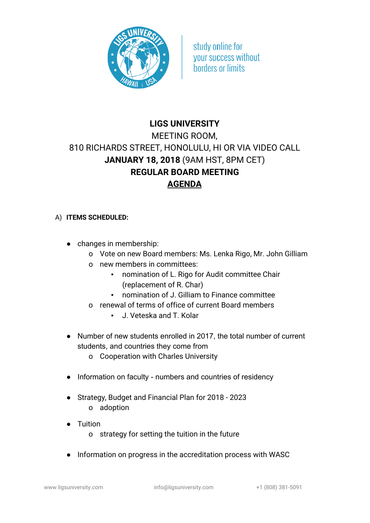

study online for **vour success without horders or limits** 

## **LIGS UNIVERSITY** MEETING ROOM, 810 RICHARDS STREET, HONOLULU, HI OR VIA VIDEO CALL **JANUARY 18, 2018** (9AM HST, 8PM CET) **REGULAR BOARD MEETING AGENDA**

## A) **ITEMS SCHEDULED:**

- changes in membership:
	- o Vote on new Board members: Ms. Lenka Rigo, Mr. John Gilliam
	- o new members in committees:
		- nomination of L. Rigo for Audit committee Chair (replacement of R. Char)
		- nomination of J. Gilliam to Finance committee
	- o renewal of terms of office of current Board members
		- J. Veteska and T. Kolar
- Number of new students enrolled in 2017, the total number of current students, and countries they come from
	- o Cooperation with Charles University
- Information on faculty numbers and countries of residency
- Strategy, Budget and Financial Plan for 2018 2023 o adoption
- Tuition
	- o strategy for setting the tuition in the future
- Information on progress in the accreditation process with WASC